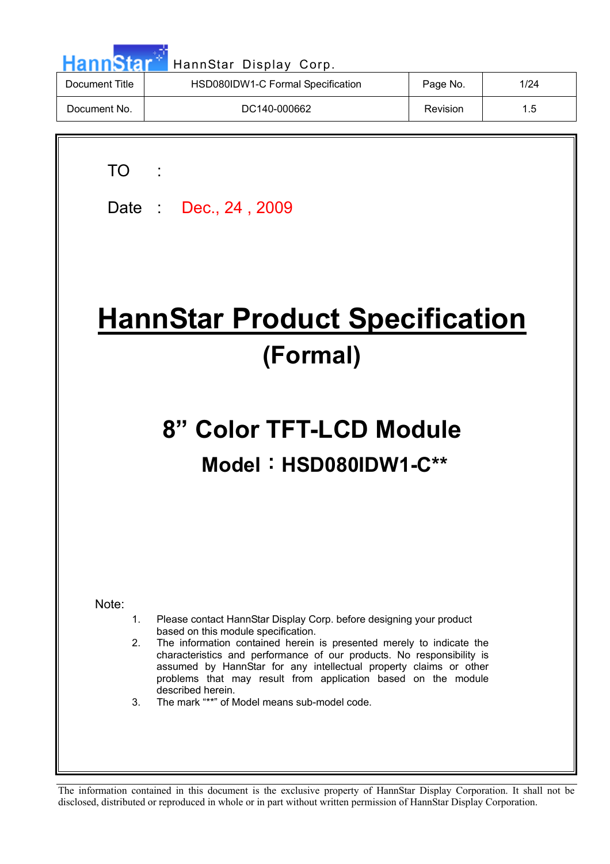| HannStan       | HannStar Display Corp.            |          |      |
|----------------|-----------------------------------|----------|------|
| Document Title | HSD080IDW1-C Formal Specification | Page No. | 1/24 |
| Document No.   | DC140-000662                      | Revision | 1.5  |
|                |                                   |          |      |

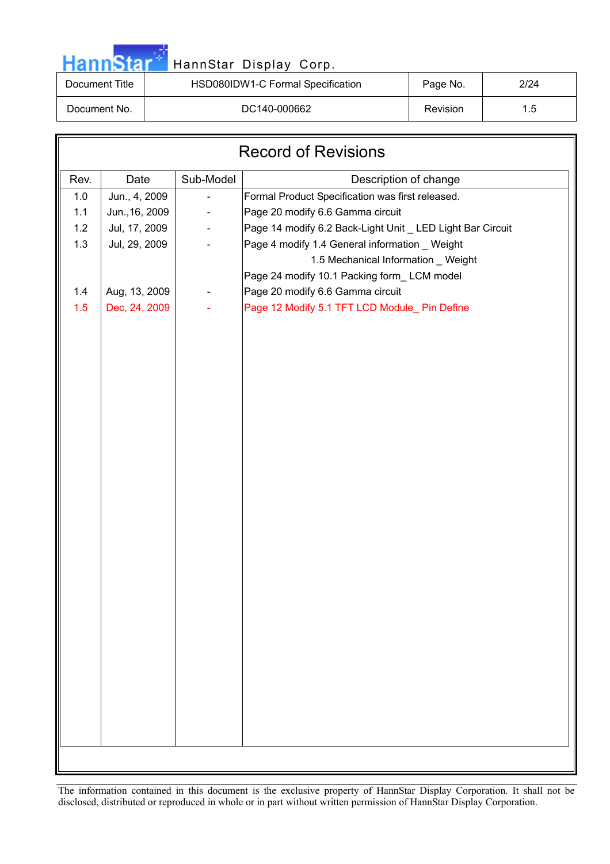|  | HannStar |  |
|--|----------|--|

### HannStar Display Corp.

| Document Title | HSD080IDW1-C Formal Specification | Page No. | 2/24 |
|----------------|-----------------------------------|----------|------|
| Document No.   | DC140-000662                      | Revision | 1.5  |

| <b>Record of Revisions</b> |                |           |                                                            |  |  |  |
|----------------------------|----------------|-----------|------------------------------------------------------------|--|--|--|
| Rev.                       | Date           | Sub-Model | Description of change                                      |  |  |  |
| 1.0                        | Jun., 4, 2009  |           | Formal Product Specification was first released.           |  |  |  |
| 1.1                        | Jun., 16, 2009 |           | Page 20 modify 6.6 Gamma circuit                           |  |  |  |
| 1.2                        | Jul, 17, 2009  |           | Page 14 modify 6.2 Back-Light Unit _ LED Light Bar Circuit |  |  |  |
| 1.3                        | Jul, 29, 2009  |           | Page 4 modify 1.4 General information _ Weight             |  |  |  |
|                            |                |           | 1.5 Mechanical Information _ Weight                        |  |  |  |
|                            |                |           | Page 24 modify 10.1 Packing form_LCM model                 |  |  |  |
| 1.4                        | Aug, 13, 2009  |           | Page 20 modify 6.6 Gamma circuit                           |  |  |  |
| 1.5                        | Dec, 24, 2009  |           | Page 12 Modify 5.1 TFT LCD Module_ Pin Define              |  |  |  |
|                            |                |           |                                                            |  |  |  |
|                            |                |           |                                                            |  |  |  |
|                            |                |           |                                                            |  |  |  |
|                            |                |           |                                                            |  |  |  |
|                            |                |           |                                                            |  |  |  |
|                            |                |           |                                                            |  |  |  |
|                            |                |           |                                                            |  |  |  |
|                            |                |           |                                                            |  |  |  |
|                            |                |           |                                                            |  |  |  |
|                            |                |           |                                                            |  |  |  |
|                            |                |           |                                                            |  |  |  |
|                            |                |           |                                                            |  |  |  |
|                            |                |           |                                                            |  |  |  |
|                            |                |           |                                                            |  |  |  |
|                            |                |           |                                                            |  |  |  |
|                            |                |           |                                                            |  |  |  |
|                            |                |           |                                                            |  |  |  |
|                            |                |           |                                                            |  |  |  |
|                            |                |           |                                                            |  |  |  |
|                            |                |           |                                                            |  |  |  |
|                            |                |           |                                                            |  |  |  |
|                            |                |           |                                                            |  |  |  |
|                            |                |           |                                                            |  |  |  |
|                            |                |           |                                                            |  |  |  |
|                            |                |           |                                                            |  |  |  |
|                            |                |           |                                                            |  |  |  |
|                            |                |           |                                                            |  |  |  |
|                            |                |           |                                                            |  |  |  |
|                            |                |           |                                                            |  |  |  |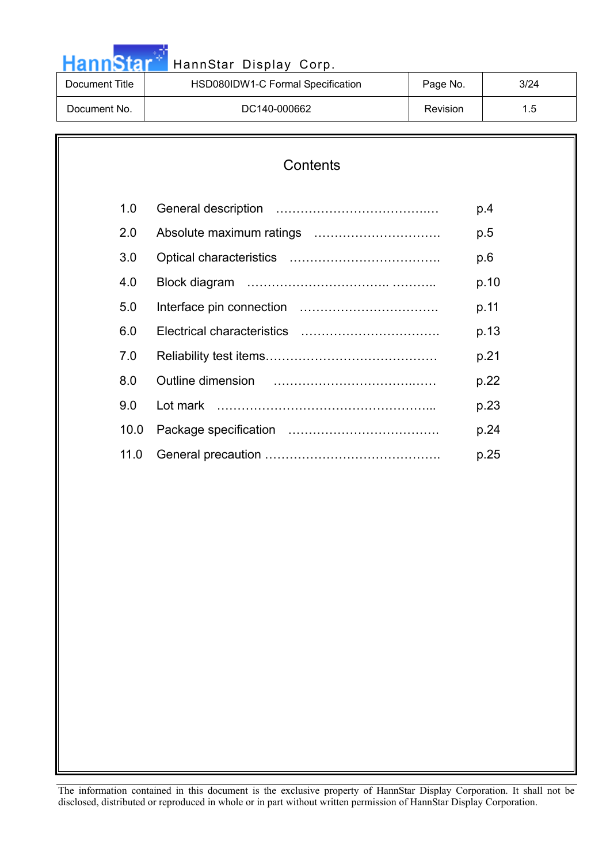| <b>Hann Nata</b> | HannStar Display Corp.            |                 |               |
|------------------|-----------------------------------|-----------------|---------------|
| Document Title   | HSD080IDW1-C Formal Specification | Page No.        | 3/24          |
| Document No.     | DC140-000662                      | <b>Revision</b> | $1.5^{\circ}$ |

# **Contents**  1.0 General description ……………………………….… p.4 2.0 Absolute maximum ratings …………………………. p.5 3.0 Optical characteristics ………………………………. p.6 4.0 Block diagram …………………………….. ……….. p.10 5.0 Interface pin connection ……………………………. p.11 6.0 Electrical characteristics ……………………………. p.13 7.0 Reliability test items…………………………………… p.21 8.0 Outline dimension …………………………….…… p.22 9.0 Lot mark ……………………………………………... p.23 10.0 Package specification ………………………………. p.24 11.0 General precaution ……………………………………. p.25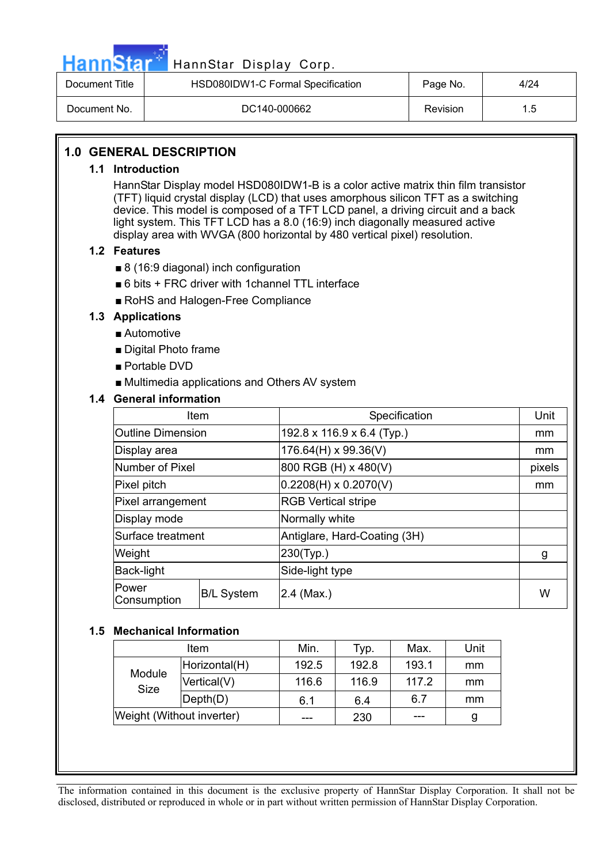

## HannStar<sup>17</sup> HannStar Display Corp.

| Document Title | HSD080IDW1-C Formal Specification | Page No. | 4/24 |
|----------------|-----------------------------------|----------|------|
| Document No.   | DC140-000662                      | Revision | 1.5  |

#### **1.0 GENERAL DESCRIPTION**

#### **1.1 Introduction**

HannStar Display model HSD080IDW1-B is a color active matrix thin film transistor (TFT) liquid crystal display (LCD) that uses amorphous silicon TFT as a switching device. This model is composed of a TFT LCD panel, a driving circuit and a back light system. This TFT LCD has a 8.0 (16:9) inch diagonally measured active display area with WVGA (800 horizontal by 480 vertical pixel) resolution.

#### **1.2 Features**

- $\blacksquare$  8 (16:9 diagonal) inch configuration
- $\blacksquare$  6 bits + FRC driver with 1channel TTL interface
- RoHS and Halogen-Free Compliance

#### **1.3 Applications**

- $\blacksquare$  Automotive
- $\blacksquare$  Digital Photo frame
- $\blacksquare$  Portable DVD
- $\blacksquare$  Multimedia applications and Others AV system

#### **1.4 General information**

| Item                        |                                                   | Specification                | Unit   |
|-----------------------------|---------------------------------------------------|------------------------------|--------|
| <b>Outline Dimension</b>    |                                                   | 192.8 x 116.9 x 6.4 (Typ.)   | mm     |
| Display area                |                                                   | 176.64(H) x 99.36(V)         | mm     |
| Number of Pixel             |                                                   | 800 RGB (H) x 480(V)         | pixels |
| Pixel pitch                 |                                                   | $0.2208(H) \times 0.2070(V)$ | mm     |
| Pixel arrangement           |                                                   | <b>RGB Vertical stripe</b>   |        |
| Display mode                |                                                   | Normally white               |        |
|                             | Surface treatment<br>Antiglare, Hard-Coating (3H) |                              |        |
| Weight                      |                                                   | 230(Typ.)                    | g      |
| Back-light                  |                                                   | Side-light type              |        |
| <b>Power</b><br>Consumption | <b>B/L System</b>                                 | $2.4$ (Max.)                 |        |

#### **1.5 Mechanical Information**

| Item                      |                              | Min.  | Typ.  | Max.  | Unit |
|---------------------------|------------------------------|-------|-------|-------|------|
| Module<br><b>Size</b>     | Horizontal(H)                | 192.5 | 192.8 | 193.1 | mm   |
|                           | Vertical(V)                  | 116.6 | 116.9 | 117.2 | mm   |
|                           | $\mathsf{Depth}(\mathsf{D})$ | 6.1   | 6.4   | 6.7   | mm   |
| Weight (Without inverter) |                              |       | 230   |       | g    |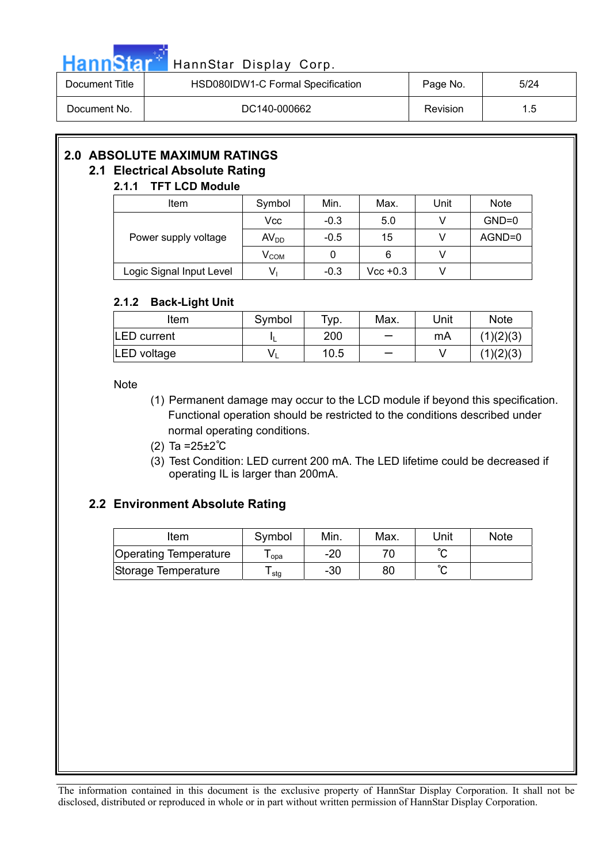

| Document Title | HSD080IDW1-C Formal Specification | Page No. | 5/24 |
|----------------|-----------------------------------|----------|------|
| Document No.   | DC140-000662                      | Revision | 1.5  |

## **2.0 ABSOLUTE MAXIMUM RATINGS**

### **2.1 Electrical Absolute Rating**

#### **2.1.1 TFT LCD Module**  Item | Symbol | Min. | Max. | Unit | Note  $Vcc$  -0.3 5.0 V GND=0 Power supply voltage  $\vert$  AV<sub>DD</sub>  $\vert$  -0.5  $\vert$  15  $\vert$  V  $\vert$  AGND=0  $V_{COM}$  0 6 V Logic Signal Input Level  $\begin{vmatrix} 1 & 1 \\ 0 & 1 \end{vmatrix}$  -0.3  $\begin{vmatrix} 1 & 1 \\ 0 & -0.3 \end{vmatrix}$  Vcc +0.3  $\begin{vmatrix} 1 & 1 \\ 0 & 1 \end{vmatrix}$

#### **2.1.2 Back-Light Unit**

| Item                | Symbol | $\tau_{\text{VP}}$ . | Max.                     | Unit | <b>Note</b> |
|---------------------|--------|----------------------|--------------------------|------|-------------|
| <b>ILED</b> current |        | 200                  | $\overline{\phantom{0}}$ | mA   | (1)(2)(3)   |
| LED voltage         |        | 10.5                 |                          |      | (1)(2)(3)   |

Note

- (1) Permanent damage may occur to the LCD module if beyond this specification. Functional operation should be restricted to the conditions described under normal operating conditions.
- (2) Ta =25±2℃
- (3) Test Condition: LED current 200 mA. The LED lifetime could be decreased if operating IL is larger than 200mA.

#### **2.2 Environment Absolute Rating**

| Item                         | Symbol | Min. | Max. | Unit   | <b>Note</b> |
|------------------------------|--------|------|------|--------|-------------|
| <b>Operating Temperature</b> | opa    | -20  |      | $\sim$ |             |
| Storage Temperature          | stg    | -30  | 80   | $\sim$ |             |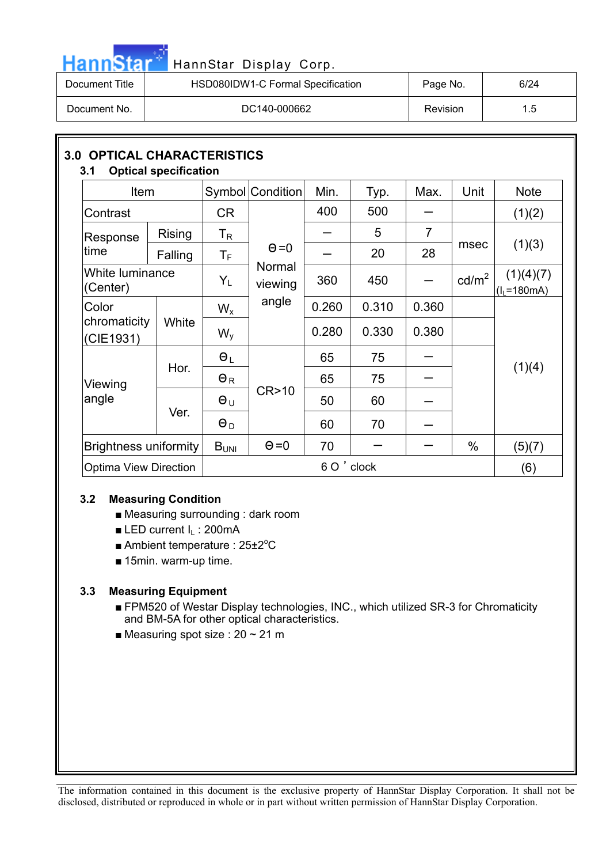| ٠                                                                                                                                                                                                                                    |         |          |  |
|--------------------------------------------------------------------------------------------------------------------------------------------------------------------------------------------------------------------------------------|---------|----------|--|
| <b>The Contract of the Contract of the Contract of the Contract of the Contract of the Contract of the Contract of the Contract of the Contract of the Contract of the Contract of the Contract of the Contract of the Contract </b> | ın<br>п | г<br>. . |  |
|                                                                                                                                                                                                                                      |         |          |  |

### HannStar Display Corp.

| Document Title | HSD080IDW1-C Formal Specification | Page No. | 6/24 |
|----------------|-----------------------------------|----------|------|
| Document No.   | DC140-000662                      | Revision | 1.5  |

| <b>3.0 OPTICAL CHARACTERISTICS</b><br><b>Optical specification</b><br>3.1 |                              |                           |                   |       |       |                |                   |                           |
|---------------------------------------------------------------------------|------------------------------|---------------------------|-------------------|-------|-------|----------------|-------------------|---------------------------|
| Item                                                                      |                              |                           | Symbol Condition  | Min.  | Typ.  | Max.           | Unit              | <b>Note</b>               |
| Contrast                                                                  |                              | <b>CR</b>                 |                   | 400   | 500   |                |                   | (1)(2)                    |
| Response                                                                  | <b>Rising</b>                | $\mathsf{T}_{\mathsf{R}}$ |                   |       | 5     | $\overline{7}$ |                   | (1)(3)                    |
| time                                                                      | Falling                      | $\mathsf T_{\mathsf F}$   | $\Theta = 0$      |       | 20    | 28             | msec              |                           |
| (Center)                                                                  | White luminance              |                           | Normal<br>viewing | 360   | 450   |                | cd/m <sup>2</sup> | (1)(4)(7)<br>$(I1=180mA)$ |
| Color                                                                     |                              | $W_{x}$                   | angle             | 0.260 | 0.310 | 0.360          |                   |                           |
| chromaticity<br>(CIE1931)                                                 | White                        | $W_{V}$                   |                   | 0.280 | 0.330 | 0.380          |                   |                           |
|                                                                           | Hor.                         | $\Theta_L$                |                   | 65    | 75    |                |                   | (1)(4)                    |
| Viewing                                                                   |                              | $\Theta_R$                |                   | 65    | 75    |                |                   |                           |
| angle                                                                     | Ver.                         | $\Theta_U$                | CR > 10           | 50    | 60    |                |                   |                           |
|                                                                           |                              | $\Theta_D$                |                   | 60    | 70    |                |                   |                           |
|                                                                           | <b>Brightness uniformity</b> |                           | $\Theta = 0$      | 70    |       |                | $\%$              | (5)(7)                    |
| <b>Optima View Direction</b>                                              |                              |                           | 6 O ' clock       |       |       |                |                   | (6)                       |

#### **3.2 Measuring Condition**

- $\blacksquare$  Measuring surrounding : dark room
- $\blacksquare$  **LED current I<sub>L</sub>: 200mA**
- Ambient temperature :  $25\pm2^{\circ}C$
- $\blacksquare$  15min. warm-up time.

#### **3.3 Measuring Equipment**

- FPM520 of Westar Display technologies, INC., which utilized SR-3 for Chromaticity and BM-5A for other optical characteristics.
- **Measuring spot size : 20 ~ 21 m**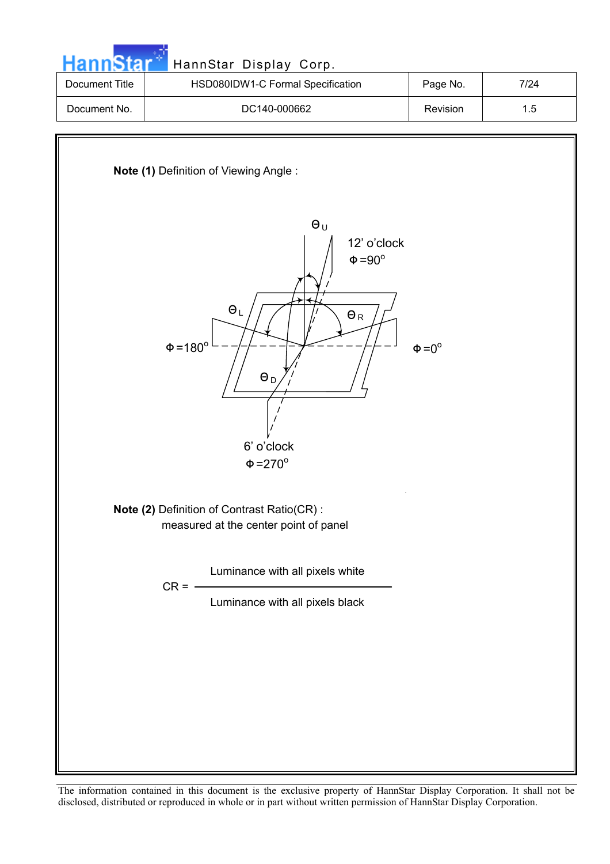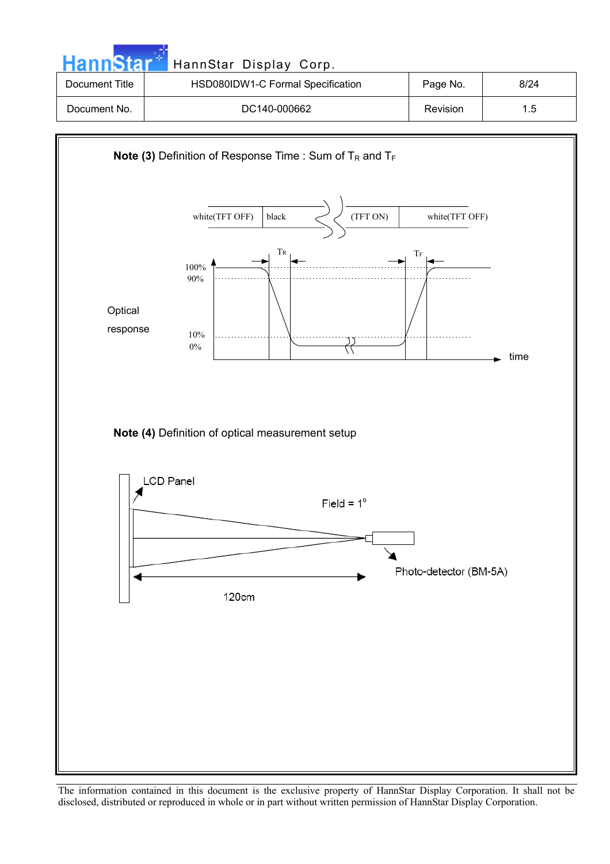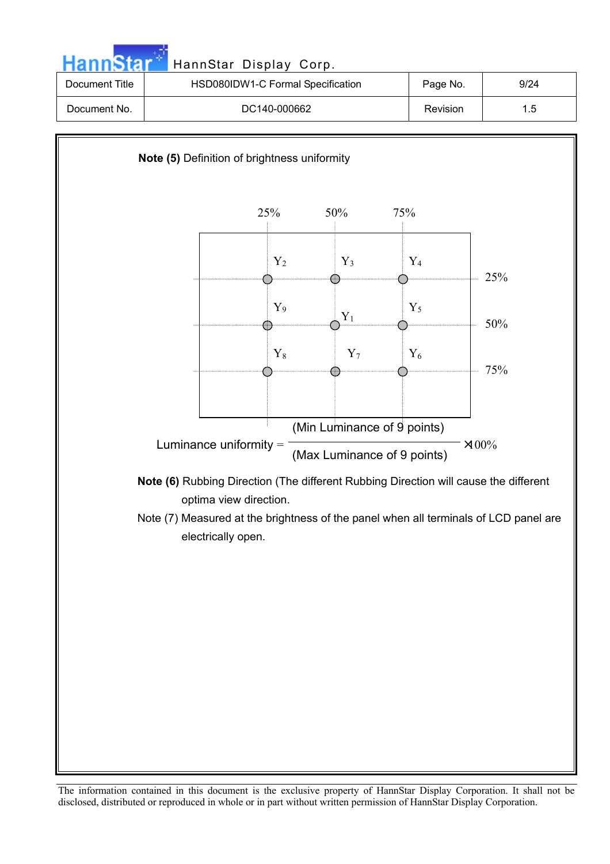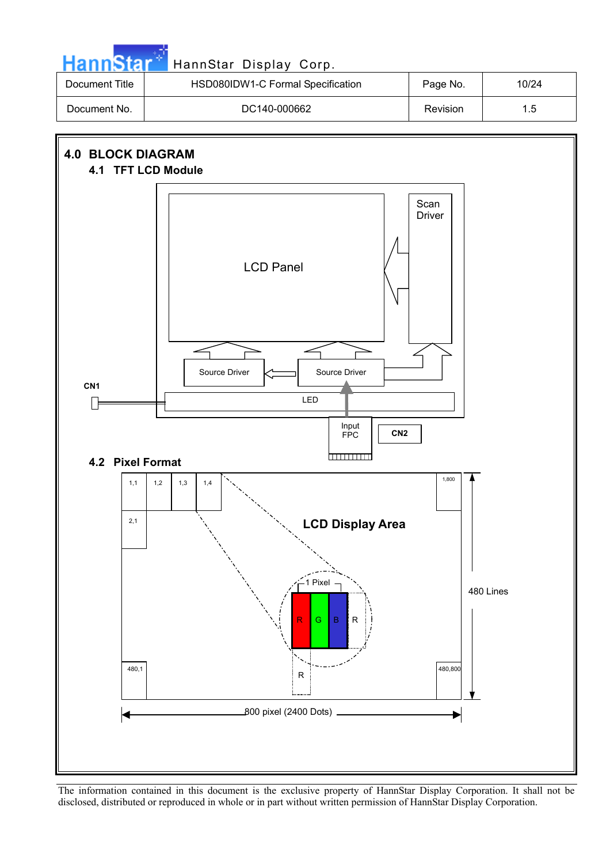

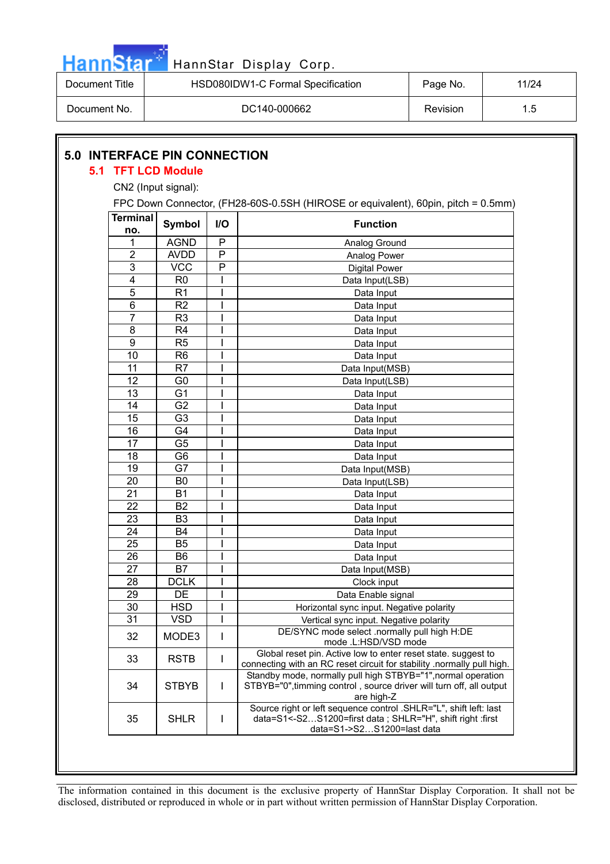

| Document Title | HSD080IDW1-C Formal Specification | Page No. | 11/24 |
|----------------|-----------------------------------|----------|-------|
| Document No.   | DC140-000662                      | Revision | 1.5   |

### **5.0 INTERFACE PIN CONNECTION**

#### **5.1 TFT LCD Module**

CN2 (Input signal):

| <b>Terminal</b><br>no. | <b>Symbol</b>  | I/O          | <b>Function</b>                                                                                                                                              |
|------------------------|----------------|--------------|--------------------------------------------------------------------------------------------------------------------------------------------------------------|
| 1                      | <b>AGND</b>    | P            | Analog Ground                                                                                                                                                |
| $\overline{2}$         | <b>AVDD</b>    | P            | Analog Power                                                                                                                                                 |
| 3                      | <b>VCC</b>     | P            | <b>Digital Power</b>                                                                                                                                         |
| 4                      | R <sub>0</sub> |              | Data Input(LSB)                                                                                                                                              |
| 5                      | R <sub>1</sub> |              | Data Input                                                                                                                                                   |
| 6                      | R <sub>2</sub> |              | Data Input                                                                                                                                                   |
| 7                      | R <sub>3</sub> |              | Data Input                                                                                                                                                   |
| 8                      | R4             |              | Data Input                                                                                                                                                   |
| 9                      | R <sub>5</sub> |              | Data Input                                                                                                                                                   |
| 10                     | R <sub>6</sub> |              | Data Input                                                                                                                                                   |
| 11                     | R <sub>7</sub> |              | Data Input(MSB)                                                                                                                                              |
| 12                     | G <sub>0</sub> |              | Data Input(LSB)                                                                                                                                              |
| 13                     | G <sub>1</sub> |              | Data Input                                                                                                                                                   |
| 14                     | G <sub>2</sub> |              | Data Input                                                                                                                                                   |
| 15                     | G <sub>3</sub> |              | Data Input                                                                                                                                                   |
| 16                     | G4             |              | Data Input                                                                                                                                                   |
| 17                     | G <sub>5</sub> |              | Data Input                                                                                                                                                   |
| 18                     | G <sub>6</sub> |              | Data Input                                                                                                                                                   |
| 19                     | G7             |              | Data Input(MSB)                                                                                                                                              |
| 20                     | B <sub>0</sub> |              | Data Input(LSB)                                                                                                                                              |
| 21                     | <b>B1</b>      |              | Data Input                                                                                                                                                   |
| 22                     | B <sub>2</sub> |              | Data Input                                                                                                                                                   |
| 23                     | B <sub>3</sub> |              | Data Input                                                                                                                                                   |
| 24                     | <b>B4</b>      |              | Data Input                                                                                                                                                   |
| 25                     | B <sub>5</sub> |              | Data Input                                                                                                                                                   |
| 26                     | B <sub>6</sub> |              | Data Input                                                                                                                                                   |
| 27                     | B7             |              | Data Input(MSB)                                                                                                                                              |
| 28                     | <b>DCLK</b>    |              | Clock input                                                                                                                                                  |
| 29                     | DE             |              | Data Enable signal                                                                                                                                           |
| 30                     | <b>HSD</b>     |              | Horizontal sync input. Negative polarity                                                                                                                     |
| 31                     | <b>VSD</b>     | I            | Vertical sync input. Negative polarity                                                                                                                       |
| 32                     | MODE3          | $\mathsf{l}$ | DE/SYNC mode select .normally pull high H:DE<br>mode .L:HSD/VSD mode                                                                                         |
| 33                     | <b>RSTB</b>    | I            | Global reset pin. Active low to enter reset state. suggest to<br>connecting with an RC reset circuit for stability .normally pull high.                      |
| 34                     | <b>STBYB</b>   | $\mathbf{I}$ | Standby mode, normally pull high STBYB="1", normal operation<br>STBYB="0", timming control, source driver will turn off, all output<br>are high-Z            |
| 35                     | <b>SHLR</b>    | $\mathsf{I}$ | Source right or left sequence control .SHLR="L", shift left: last<br>data=S1<-S2S1200=first data; SHLR="H", shift right :first<br>data=S1->S2S1200=last data |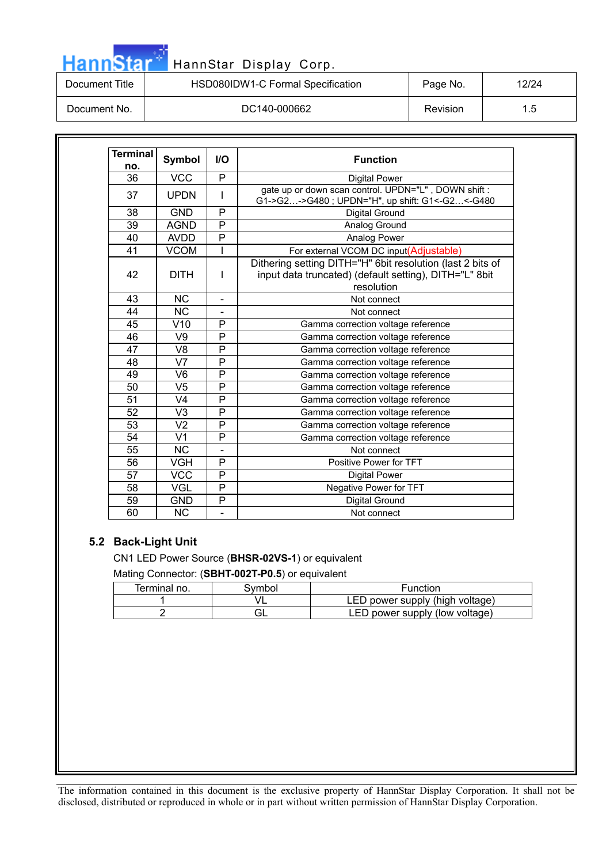# HannStar<sup>t HannStar Display Corp.</sup>

| Document Title | HSD080IDW1-C Formal Specification | Page No. | 12/24 |
|----------------|-----------------------------------|----------|-------|
| Document No.   | DC140-000662                      | Revision |       |

| <b>Terminal</b><br>no. | <b>Symbol</b><br>$UO$ |                          | <b>Function</b>                                                                                                                    |  |  |
|------------------------|-----------------------|--------------------------|------------------------------------------------------------------------------------------------------------------------------------|--|--|
| 36                     | <b>VCC</b>            | P                        | <b>Digital Power</b>                                                                                                               |  |  |
| 37                     | <b>UPDN</b>           | I                        | gate up or down scan control. UPDN="L", DOWN shift:<br>G1->G2->G480 ; UPDN="H", up shift: G1<-G2<-G480                             |  |  |
| 38                     | <b>GND</b>            | P                        | Digital Ground                                                                                                                     |  |  |
| 39                     | <b>AGND</b>           | P                        | Analog Ground                                                                                                                      |  |  |
| 40                     | <b>AVDD</b>           | P                        | Analog Power                                                                                                                       |  |  |
| 41                     | <b>VCOM</b>           | I                        | For external VCOM DC input(Adjustable)                                                                                             |  |  |
| 42                     | <b>DITH</b>           | I                        | Dithering setting DITH="H" 6bit resolution (last 2 bits of<br>input data truncated) (default setting), DITH="L" 8bit<br>resolution |  |  |
| 43                     | <b>NC</b>             | $\overline{\phantom{0}}$ | Not connect                                                                                                                        |  |  |
| 44                     | <b>NC</b>             |                          | Not connect                                                                                                                        |  |  |
| 45                     | V10                   | P                        | Gamma correction voltage reference                                                                                                 |  |  |
| 46                     | V9                    | P                        | Gamma correction voltage reference                                                                                                 |  |  |
| 47                     | V <sub>8</sub>        | P                        | Gamma correction voltage reference                                                                                                 |  |  |
| 48                     | V <sub>7</sub>        | P                        | Gamma correction voltage reference                                                                                                 |  |  |
| 49                     | V <sub>6</sub>        | P                        | Gamma correction voltage reference                                                                                                 |  |  |
| 50                     | V <sub>5</sub>        | P                        | Gamma correction voltage reference                                                                                                 |  |  |
| 51                     | V <sub>4</sub>        | P                        | Gamma correction voltage reference                                                                                                 |  |  |
| 52                     | V <sub>3</sub>        | P                        | Gamma correction voltage reference                                                                                                 |  |  |
| 53                     | V <sub>2</sub>        | P                        | Gamma correction voltage reference                                                                                                 |  |  |
| 54                     | V <sub>1</sub>        | P                        | Gamma correction voltage reference                                                                                                 |  |  |
| 55                     | <b>NC</b>             |                          | Not connect                                                                                                                        |  |  |
| 56                     | <b>VGH</b>            | P                        | Positive Power for TFT                                                                                                             |  |  |
| 57                     | <b>VCC</b>            | P                        | <b>Digital Power</b>                                                                                                               |  |  |
| 58                     | <b>VGL</b>            | P                        | Negative Power for TFT                                                                                                             |  |  |
| 59                     | <b>GND</b>            | P                        | Digital Ground                                                                                                                     |  |  |
| 60                     | <b>NC</b>             |                          | Not connect                                                                                                                        |  |  |

#### **5.2 Back-Light Unit**

CN1 LED Power Source (**BHSR-02VS-1**) or equivalent

Mating Connector: (**SBHT-002T-P0.5**) or equivalent

| Terminal no. | 3vmbol | Function                        |
|--------------|--------|---------------------------------|
|              |        | LED power supply (high voltage) |
|              |        | LED power supply (low voltage)  |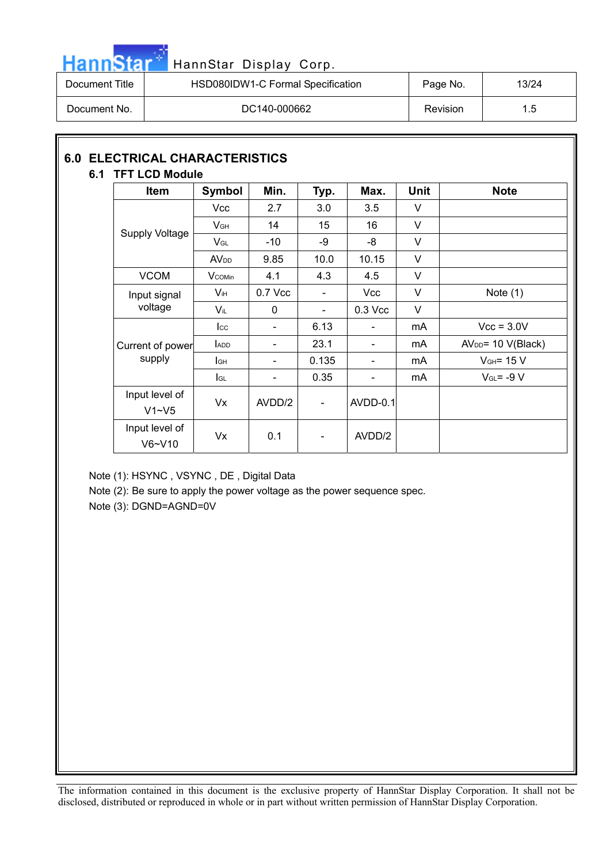

# HannStar<sup>3</sup> HannStar Display Corp.

| Document Title | HSD080IDW1-C Formal Specification | Page No. | 13/24 |
|----------------|-----------------------------------|----------|-------|
| Document No.   | DC140-000662                      | Revision | 1.5   |

#### **6.0 ELECTRICAL CHARACTERISTICS 6.1 TFT LCD Module**

| <b>Item</b>                 | Symbol                 | Min.                     | Typ.                         | Max.                     | <b>Unit</b> | <b>Note</b>          |
|-----------------------------|------------------------|--------------------------|------------------------------|--------------------------|-------------|----------------------|
|                             | Vcc                    | 2.7                      | 3.0                          | 3.5                      | V           |                      |
|                             | V <sub>GH</sub>        | 14                       | 15                           | 16                       | V           |                      |
| <b>Supply Voltage</b>       | $V_{GL}$               | $-10$                    | -9                           | -8                       | V           |                      |
|                             | <b>AV<sub>DD</sub></b> | 9.85                     | 10.0                         | 10.15                    | V           |                      |
| <b>VCOM</b>                 | <b>V</b> comin         | 4.1                      | 4.3                          | 4.5                      | V           |                      |
| Input signal                | $V_{iH}$               | 0.7 Vcc                  | $\qquad \qquad \blacksquare$ | <b>Vcc</b>               | V           | Note $(1)$           |
| voltage                     | Vil                    | $\mathbf{0}$             | $\blacksquare$               | $0.3$ Vcc                | $\vee$      |                      |
|                             | $_{\rm lcc}$           | $\overline{\phantom{0}}$ | 6.13                         | $\overline{\phantom{0}}$ | mA          | $Vcc = 3.0V$         |
| Current of power            | <b>ADD</b>             |                          | 23.1                         |                          | mA          | $AVDD = 10 V(Black)$ |
| supply                      | lсн                    | $\frac{1}{2}$            | 0.135                        | $\overline{\phantom{a}}$ | mA          | $VGH = 15 V$         |
|                             | lgL                    | $\frac{1}{2}$            | 0.35                         | $\overline{\phantom{a}}$ | mA          | $V_{GL} = -9 V$      |
| Input level of<br>$V1 - V5$ | Vx                     | AVDD/2                   | $\overline{\phantom{a}}$     | <b>AVDD-0.1</b>          |             |                      |
| Input level of<br>$V6-V10$  | Vx                     | 0.1                      | $\qquad \qquad \blacksquare$ | AVDD/2                   |             |                      |

Note (1): HSYNC , VSYNC , DE , Digital Data

Note (2): Be sure to apply the power voltage as the power sequence spec.

Note (3): DGND=AGND=0V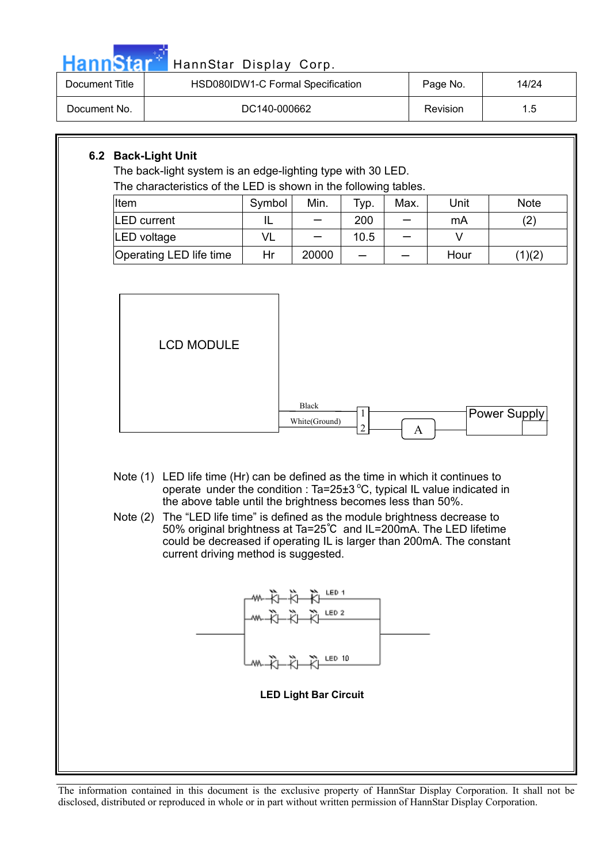#### HannStar Display Corp.

| Document Title | HSD080IDW1-C Formal Specification | Page No. | 14/24         |
|----------------|-----------------------------------|----------|---------------|
| Document No.   | DC140-000662                      | Revision | $1.5^{\circ}$ |

#### **6.2 Back-Light Unit**

The back-light system is an edge-lighting type with 30 LED. The characteristics of the LED is shown in the following tables.

| The characteristics of the EED to chown in the following tapics. |        |       |      |      |      |             |
|------------------------------------------------------------------|--------|-------|------|------|------|-------------|
| Item                                                             | Symbol | Min.  | Typ. | Max. | Unit | <b>Note</b> |
| <b>LED</b> current                                               |        |       | 200  |      | mA   | 2)          |
| LED voltage                                                      | VL     |       | 10.5 |      |      |             |
| Operating LED life time                                          | Hr     | 20000 |      |      | Hour | (1)(2)      |



- Note (1) LED life time (Hr) can be defined as the time in which it continues to operate under the condition : Ta=25 $\pm$ 3 °C, typical IL value indicated in the above table until the brightness becomes less than 50%.
- Note (2) The "LED life time" is defined as the module brightness decrease to 50% original brightness at Ta=25℃ and IL=200mA. The LED lifetime could be decreased if operating IL is larger than 200mA. The constant current driving method is suggested.

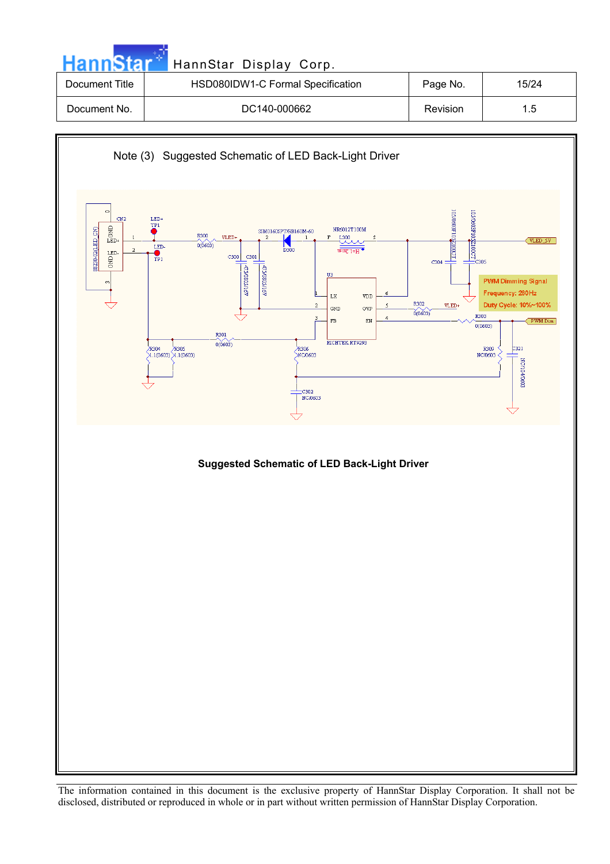| <b>HannStar</b> | HannStar Display Corp.            |          |       |
|-----------------|-----------------------------------|----------|-------|
| Document Title  | HSD080IDW1-C Formal Specification | Page No. | 15/24 |
| Document No.    | DC140-000662                      | Revision | 1.5   |

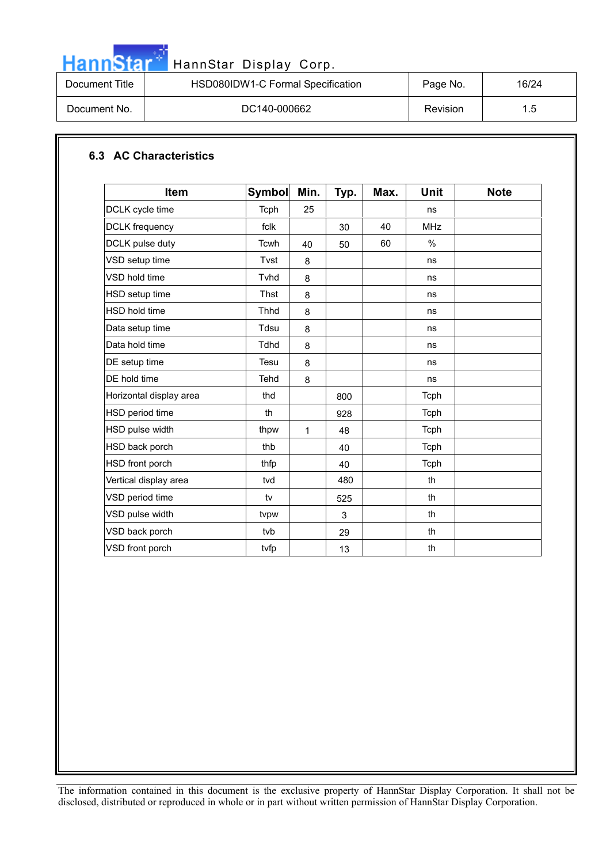

# HannStar<sup>t H</sup>annStar Display Corp.

| Document Title | HSD080IDW1-C Formal Specification | Page No. | 16/24 |
|----------------|-----------------------------------|----------|-------|
| Document No.   | DC140-000662                      | Revision | 1.5   |
|                |                                   |          |       |

#### **6.3 AC Characteristics**

| Item                    | <b>Symbol</b> | Min. | Typ. | Max. | Unit          | <b>Note</b> |
|-------------------------|---------------|------|------|------|---------------|-------------|
| DCLK cycle time         | Tcph          | 25   |      |      | ns            |             |
| <b>DCLK</b> frequency   | fclk          |      | 30   | 40   | <b>MHz</b>    |             |
| DCLK pulse duty         | Tcwh          | 40   | 50   | 60   | $\frac{0}{0}$ |             |
| VSD setup time          | Tvst          | 8    |      |      | ns            |             |
| VSD hold time           | Tvhd          | 8    |      |      | ns            |             |
| HSD setup time          | Thst          | 8    |      |      | ns            |             |
| HSD hold time           | <b>Thhd</b>   | 8    |      |      | ns            |             |
| Data setup time         | Tdsu          | 8    |      |      | ns            |             |
| Data hold time          | Tdhd          | 8    |      |      | ns            |             |
| DE setup time           | Tesu          | 8    |      |      | ns            |             |
| DE hold time            | Tehd          | 8    |      |      | ns            |             |
| Horizontal display area | thd           |      | 800  |      | Tcph          |             |
| HSD period time         | th            |      | 928  |      | <b>Tcph</b>   |             |
| HSD pulse width         | thpw          | 1    | 48   |      | Tcph          |             |
| HSD back porch          | thb           |      | 40   |      | Tcph          |             |
| HSD front porch         | thfp          |      | 40   |      | Tcph          |             |
| Vertical display area   | tvd           |      | 480  |      | th            |             |
| VSD period time         | tv            |      | 525  |      | th            |             |
| VSD pulse width         | tvpw          |      | 3    |      | th            |             |
| VSD back porch          | tyb           |      | 29   |      | th            |             |
| VSD front porch         | tvfp          |      | 13   |      | th            |             |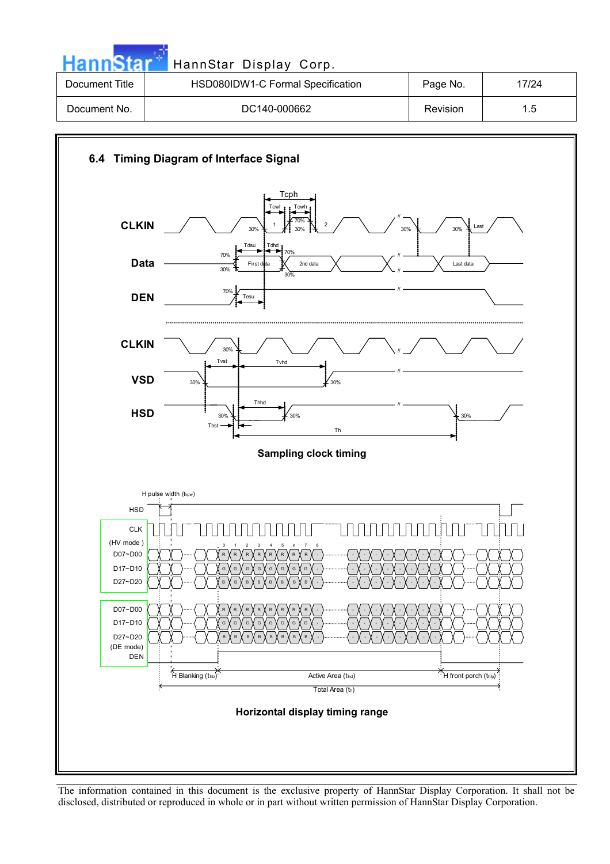| <b>HannStar</b> | HannStar Display Corp.            |          |       |
|-----------------|-----------------------------------|----------|-------|
| Document Title  | HSD080IDW1-C Formal Specification | Page No. | 17/24 |
| Document No.    | DC140-000662                      | Revision | 1.5   |

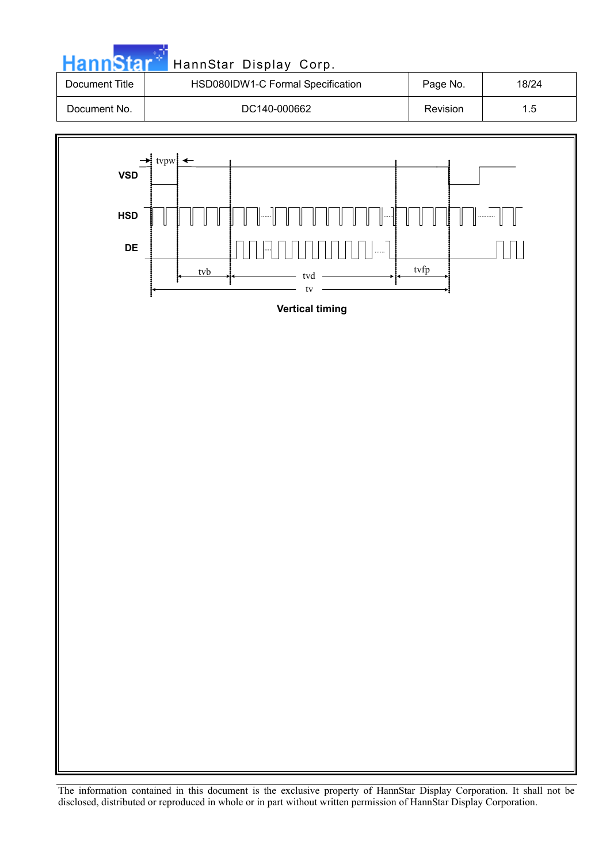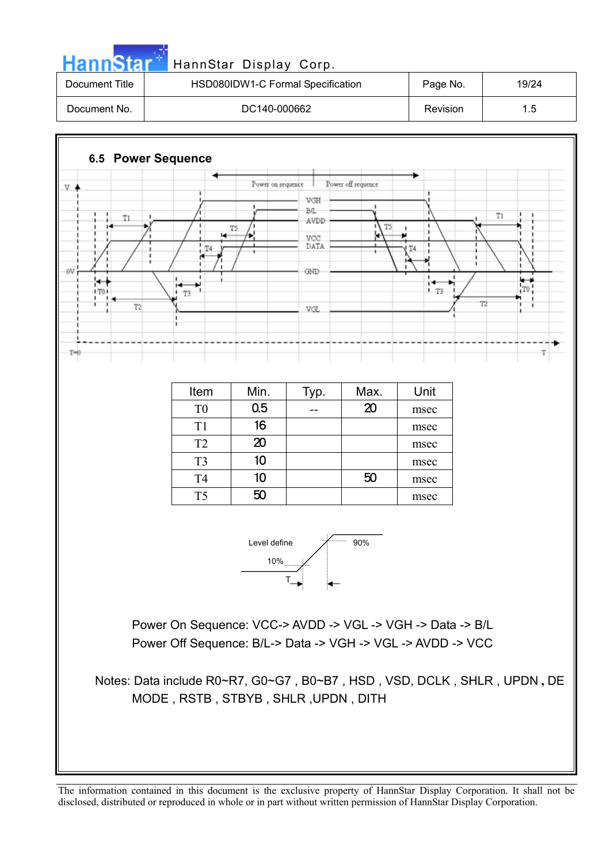



Power On Sequence: VCC-> AVDD -> VGL -> VGH -> Data -> B/L Power Off Sequence: B/L-> Data -> VGH -> VGL -> AVDD -> VCC

Notes: Data include R0~R7, G0~G7 , B0~B7 , HSD , VSD, DCLK , SHLR , UPDN **,** DE MODE , RSTB , STBYB , SHLR ,UPDN , DITH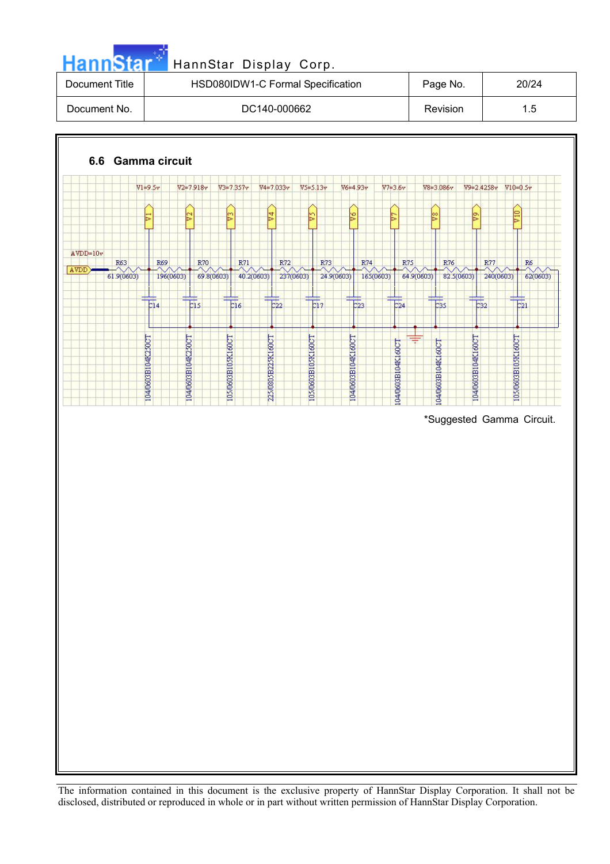| HannStar Display Corp. |                                   |                 |       |  |  |  |
|------------------------|-----------------------------------|-----------------|-------|--|--|--|
| Document Title         | HSD080IDW1-C Formal Specification | Page No.        | 20/24 |  |  |  |
| Document No.           | DC140-000662                      | <b>Revision</b> | 1.5   |  |  |  |

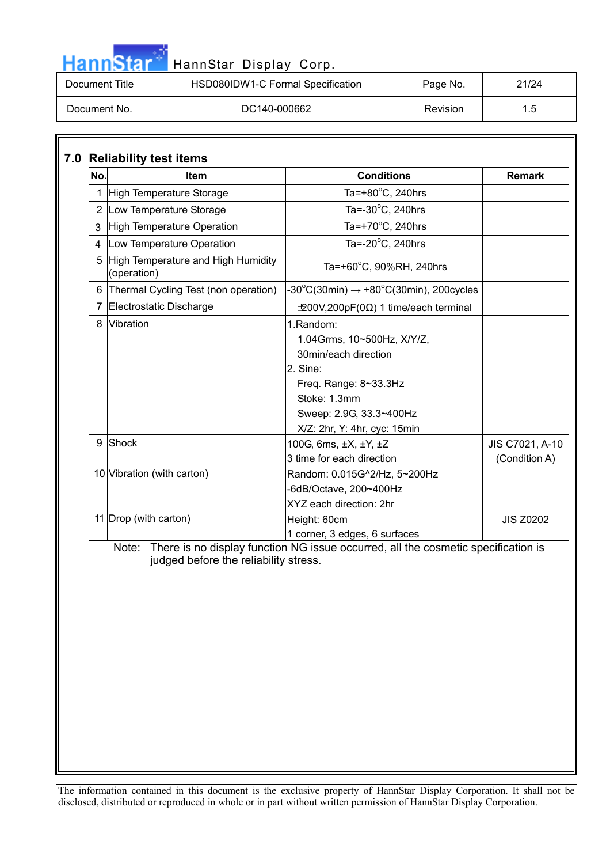| <b>HannStar</b> | HannStar Display Corp.            |          |       |
|-----------------|-----------------------------------|----------|-------|
| Document Title  | HSD080IDW1-C Formal Specification | Page No. | 21/24 |
| Document No.    | DC140-000662                      | Revision | 1.5   |

п.

| No.            | <b>Item</b>                                       | <b>Conditions</b>                                                                                                                                                               | <b>Remark</b>                    |
|----------------|---------------------------------------------------|---------------------------------------------------------------------------------------------------------------------------------------------------------------------------------|----------------------------------|
| 1              | High Temperature Storage                          | Ta=+80 $^{\circ}$ C, 240hrs                                                                                                                                                     |                                  |
|                | 2 Low Temperature Storage                         | Ta=-30°C, 240hrs                                                                                                                                                                |                                  |
| 3              | High Temperature Operation                        | Ta=+70 $\mathrm{^{\circ}C}$ , 240hrs                                                                                                                                            |                                  |
| 4              | Low Temperature Operation                         | Ta= $-20^{\circ}$ C, 240hrs                                                                                                                                                     |                                  |
| 5              | High Temperature and High Humidity<br>(operation) | Ta=+60°C, 90%RH, 240hrs                                                                                                                                                         |                                  |
| 6              | Thermal Cycling Test (non operation)              | $-30^{\circ}$ C(30min) $\rightarrow +80^{\circ}$ C(30min), 200cycles                                                                                                            |                                  |
| $\overline{7}$ | Electrostatic Discharge                           | $\pm$ 200V,200pF(0 $\Omega$ ) 1 time/each terminal                                                                                                                              |                                  |
|                | Vibration                                         | 1.Random:<br>1.04Grms, 10~500Hz, X/Y/Z,<br>30min/each direction<br>2. Sine:<br>Freq. Range: 8~33.3Hz<br>Stoke: 1.3mm<br>Sweep: 2.9G, 33.3~400Hz<br>X/Z: 2hr, Y: 4hr, cyc: 15min |                                  |
| 9              | Shock                                             | 100G, 6ms, ±X, ±Y, ±Z<br>3 time for each direction                                                                                                                              | JIS C7021, A-10<br>(Condition A) |
|                | 10 Vibration (with carton)                        | Random: 0.015G^2/Hz, 5~200Hz<br>-6dB/Octave, 200~400Hz<br>XYZ each direction: 2hr                                                                                               |                                  |
|                | 11 Drop (with carton)                             | Height: 60cm<br>1 corner, 3 edges, 6 surfaces                                                                                                                                   | <b>JIS Z0202</b>                 |
|                | Note:<br>judged before the reliability stress.    | There is no display function NG issue occurred, all the cosmetic specification is                                                                                               |                                  |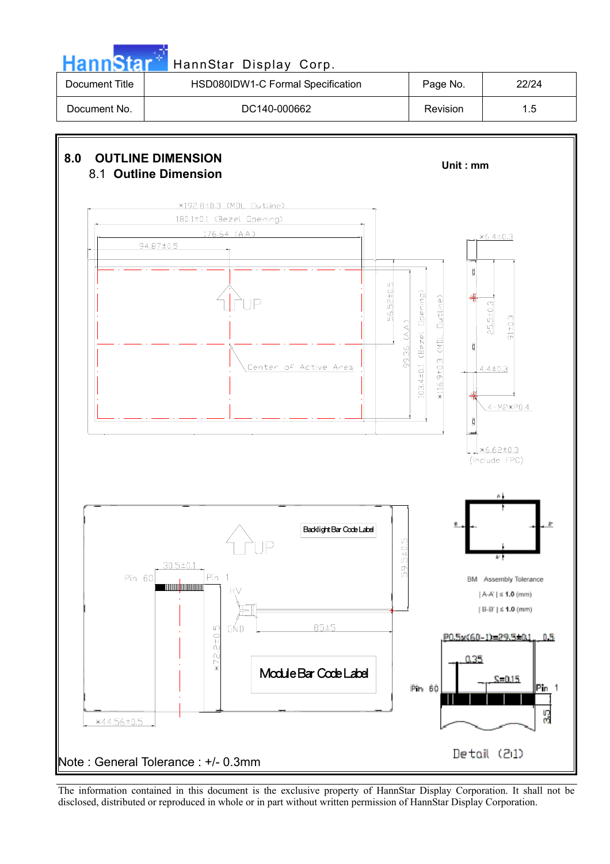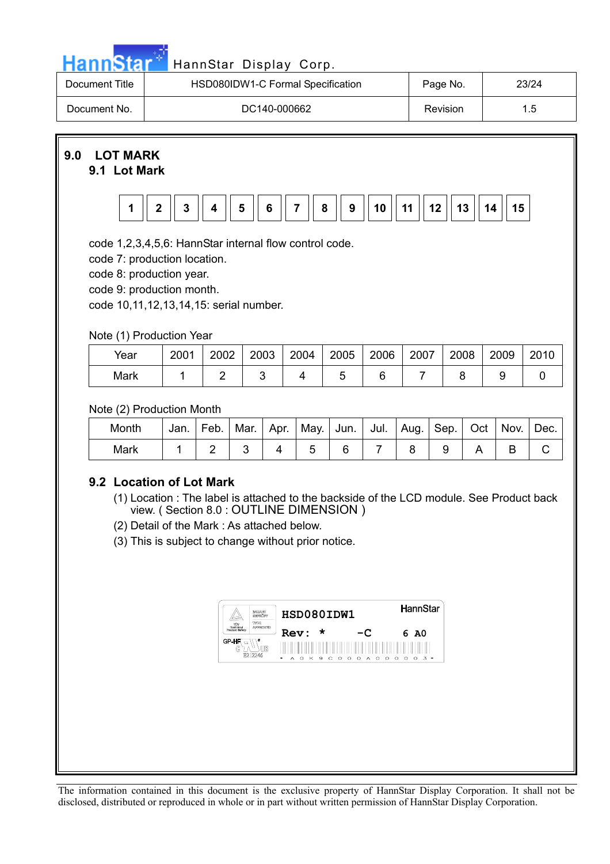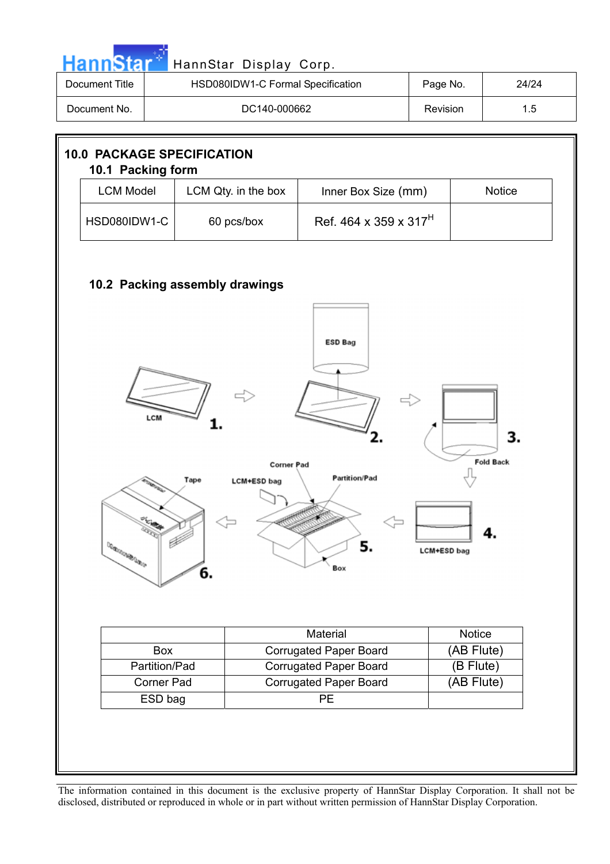| <b>Document Title</b>                                  |                                         | HSD080IDW1-C Formal Specification |                                           | Page No.           | 24/24            |
|--------------------------------------------------------|-----------------------------------------|-----------------------------------|-------------------------------------------|--------------------|------------------|
| Document No.                                           |                                         | DC140-000662                      |                                           | Revision           | 1.5              |
| <b>10.0 PACKAGE SPECIFICATION</b><br>10.1 Packing form |                                         |                                   |                                           |                    |                  |
|                                                        | <b>LCM Model</b><br>LCM Qty. in the box |                                   | Inner Box Size (mm)                       |                    | <b>Notice</b>    |
|                                                        | HSD080IDW1-C<br>60 pcs/box              |                                   | Ref. 464 x 359 x 317 <sup>H</sup>         |                    |                  |
|                                                        |                                         | 10.2 Packing assembly drawings    | <b>ESD Bag</b>                            |                    |                  |
|                                                        |                                         |                                   |                                           |                    |                  |
|                                                        |                                         |                                   |                                           |                    |                  |
|                                                        | LCM                                     |                                   |                                           |                    | З.               |
|                                                        |                                         | Tape<br><b>LCM+ESD bag</b>        | <b>Corner Pad</b><br><b>Partition/Pad</b> |                    | <b>Fold Back</b> |
|                                                        | يعايتن                                  |                                   |                                           |                    |                  |
|                                                        |                                         |                                   | 5.                                        | <b>LCM+ESD bag</b> |                  |
| <b>CONSIGNATION</b>                                    |                                         | 6.                                | Box                                       |                    |                  |
|                                                        |                                         |                                   | Material                                  |                    | Notice           |
|                                                        | Box                                     |                                   | <b>Corrugated Paper Board</b>             |                    | (AB Flute)       |
|                                                        | Partition/Pad                           |                                   | <b>Corrugated Paper Board</b>             |                    | (B Flute)        |
|                                                        | Corner Pad<br>ESD bag                   |                                   | <b>Corrugated Paper Board</b><br>PE       |                    | (AB Flute)       |

a sa T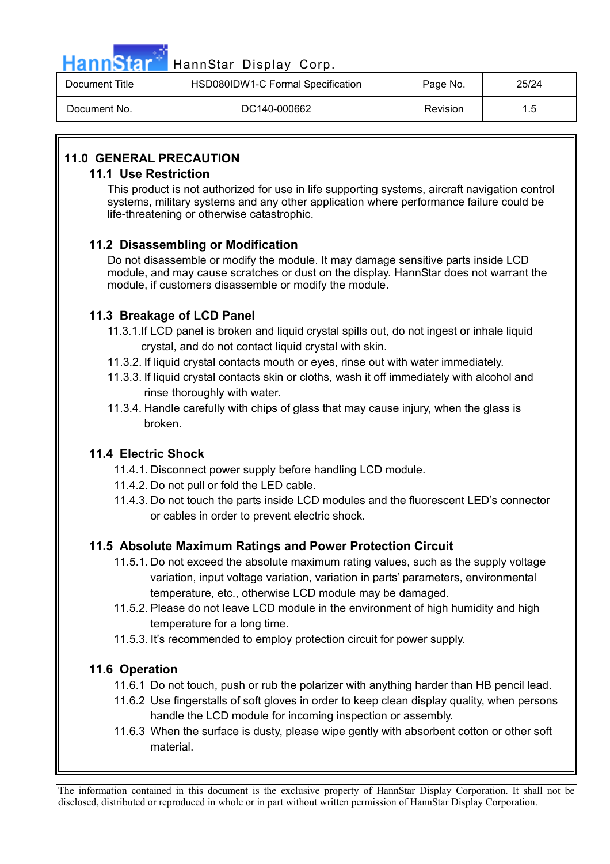

## HannStar<sup>M</sup> HannStar Display Corp.

| Document Title | HSD080IDW1-C Formal Specification | Page No. | 25/24 |
|----------------|-----------------------------------|----------|-------|
| Document No.   | DC140-000662                      | Revision | 1.5   |

#### **11.0 GENERAL PRECAUTION**

#### **11.1 Use Restriction**

This product is not authorized for use in life supporting systems, aircraft navigation control systems, military systems and any other application where performance failure could be life-threatening or otherwise catastrophic.

#### **11.2 Disassembling or Modification**

Do not disassemble or modify the module. It may damage sensitive parts inside LCD module, and may cause scratches or dust on the display. HannStar does not warrant the module, if customers disassemble or modify the module.

#### **11.3 Breakage of LCD Panel**

- 11.3.1.If LCD panel is broken and liquid crystal spills out, do not ingest or inhale liquid crystal, and do not contact liquid crystal with skin.
- 11.3.2. If liquid crystal contacts mouth or eyes, rinse out with water immediately.
- 11.3.3. If liquid crystal contacts skin or cloths, wash it off immediately with alcohol and rinse thoroughly with water.
- 11.3.4. Handle carefully with chips of glass that may cause injury, when the glass is broken.

#### **11.4 Electric Shock**

- 11.4.1. Disconnect power supply before handling LCD module.
- 11.4.2. Do not pull or fold the LED cable.
- 11.4.3. Do not touch the parts inside LCD modules and the fluorescent LED's connector or cables in order to prevent electric shock.

#### **11.5 Absolute Maximum Ratings and Power Protection Circuit**

- 11.5.1. Do not exceed the absolute maximum rating values, such as the supply voltage variation, input voltage variation, variation in parts' parameters, environmental temperature, etc., otherwise LCD module may be damaged.
- 11.5.2. Please do not leave LCD module in the environment of high humidity and high temperature for a long time.
- 11.5.3. It's recommended to employ protection circuit for power supply.

#### **11.6 Operation**

- 11.6.1 Do not touch, push or rub the polarizer with anything harder than HB pencil lead.
- 11.6.2 Use fingerstalls of soft gloves in order to keep clean display quality, when persons handle the LCD module for incoming inspection or assembly.
- 11.6.3 When the surface is dusty, please wipe gently with absorbent cotton or other soft material.